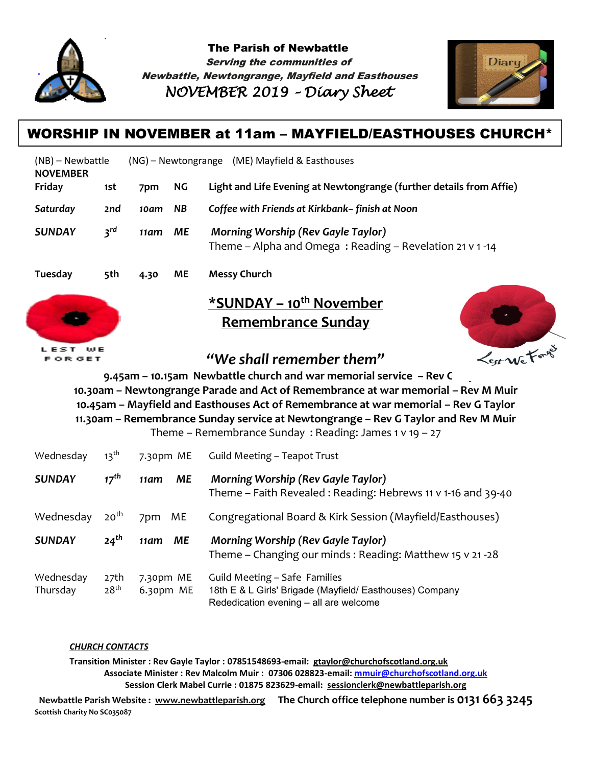

The Parish of Newbattle Serving the communities of Newbattle, Newtongrange, Mayfield and Easthouses *NOVEMBER 2019 – Diary Sheet* 



## WORSHIP IN NOVEMBER at 11am – MAYFIELD/EASTHOUSES CHURCH\*

| (NB) – Newbattle<br><b>NOVEMBER</b> |                 | (NG) – Newtongrange (ME) Mayfield & Easthouses |           |                                                                                                       |  |  |
|-------------------------------------|-----------------|------------------------------------------------|-----------|-------------------------------------------------------------------------------------------------------|--|--|
| Friday                              | 1st             | 7pm                                            | NG        | Light and Life Evening at Newtongrange (further details from Affie)                                   |  |  |
| Saturday                            | 2nd             | 10am                                           | <b>NB</b> | Coffee with Friends at Kirkbank-finish at Noon                                                        |  |  |
| <b>SUNDAY</b>                       | 3 <sup>rd</sup> | 11am                                           | ME        | <b>Morning Worship (Rev Gayle Taylor)</b><br>Theme - Alpha and Omega: Reading - Revelation 21 v 1 -14 |  |  |
| Tuesday                             | 5th             | 4.30                                           | <b>ME</b> | <b>Messy Church</b>                                                                                   |  |  |
|                                     |                 |                                                |           | *SUNDAY – 10 <sup>th</sup> November                                                                   |  |  |



# **Remembrance Sunday**



## *"We shall remember them"*

**9.45am – 10.15am Newbattle church and war memorial service – Rev G Taylor 10.30am – Newtongrange Parade and Act of Remembrance at war memorial – Rev M Muir 10.45am – Mayfield and Easthouses Act of Remembrance at war memorial – Rev G Taylor 11.30am – Remembrance Sunday service at Newtongrange – Rev G Taylor and Rev M Muir**

Theme – Remembrance Sunday : Reading: James 1 v 19 – 27

| Wednesday             | $13^{\text{th}}$         | 7.30pm ME              | Guild Meeting - Teapot Trust                                                                                                        |
|-----------------------|--------------------------|------------------------|-------------------------------------------------------------------------------------------------------------------------------------|
| <b>SUNDAY</b>         | $17^{th}$                | ME<br>11am             | <b>Morning Worship (Rev Gayle Taylor)</b><br>Theme - Faith Revealed: Reading: Hebrews 11 v 1-16 and 39-40                           |
| Wednesday             | 20 <sup>th</sup>         | ME<br>7pm              | Congregational Board & Kirk Session (Mayfield/Easthouses)                                                                           |
| <b>SUNDAY</b>         | 24 <sup>th</sup>         | МE<br>11am             | <b>Morning Worship (Rev Gayle Taylor)</b><br>Theme – Changing our minds: Reading: Matthew 15 v 21 -28                               |
| Wednesday<br>Thursday | 27th<br>28 <sup>th</sup> | 7.30pm ME<br>6.30pm ME | Guild Meeting - Safe Families<br>18th E & L Girls' Brigade (Mayfield/ Easthouses) Company<br>Rededication evening - all are welcome |

#### *CHURCH CONTACTS*

**Transition Minister : Rev Gayle Taylor : 07851548693-email: [gtaylor@churchofscotland.org.uk](mailto:gtaylor@churchofscotland.org.uk) Associate Minister : Rev Malcolm Muir : 07306 028823-email: [mmuir@churchofscotland.org.uk](mailto:mmuir@churchofscotland.org.uk) Session Clerk Mabel Currie : 01875 823629-email: [sessionclerk@newbattleparish.org](mailto:sessionclerk@newbattleparish.org)**

 **Newbattle Parish Website : [www.newbattleparish.org](http://www.newbattleparish.org/) The Church office telephone number is 0131 663 3245 Scottish Charity No SC035087**